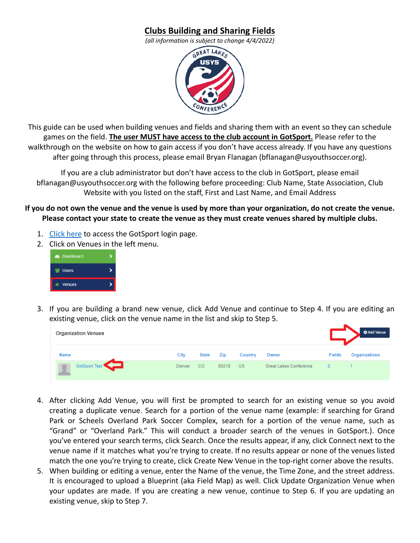## **Clubs Building and Sharing Fields**

*(all information is subject to change 4/4/2022)*



This guide can be used when building venues and fields and sharing them with an event so they can schedule games on the field. **The user MUST have access to the club account in GotSport.** Please refer to the walkthrough on the website on how to gain access if you don't have access already. If you have any questions after going through this process, please email Bryan Flanagan (bflanagan@usyouthsoccer.org).

If you are a club administrator but don't have access to the club in GotSport, please email bflanagan@usyouthsoccer.org with the following before proceeding: Club Name, State Association, Club Website with you listed on the staff, First and Last Name, and Email Address

**If you do not own the venue and the venue is used by more than your organization, do not create the venue. Please contact your state to create the venue as they must create venues shared by multiple clubs.**

- 1. [Click here](https://system.gotsport.com/) to access the GotSport login page.
- 2. Click on Venues in the left menu.



3. If you are building a brand new venue, click Add Venue and continue to Step 4. If you are editing an existing venue, click on the venue name in the list and skip to Step 5.

| <b>Organization Venues</b> |        |                 |       |           |                        |               | <b>O</b> Add Venue |
|----------------------------|--------|-----------------|-------|-----------|------------------------|---------------|--------------------|
| Name                       | City   | State           | Zip   | Country   | Owner                  | <b>Fields</b> | Organizations      |
| GotSport Test              | Denver | CO <sub>1</sub> | 80218 | <b>US</b> | Great Lakes Conference |               |                    |

- 4. After clicking Add Venue, you will first be prompted to search for an existing venue so you avoid creating a duplicate venue. Search for a portion of the venue name (example: if searching for Grand Park or Scheels Overland Park Soccer Complex, search for a portion of the venue name, such as "Grand" or "Overland Park." This will conduct a broader search of the venues in GotSport.). Once you've entered your search terms, click Search. Once the results appear, if any, click Connect next to the venue name if it matches what you're trying to create. If no results appear or none of the venues listed match the one you're trying to create, click Create New Venue in the top-right corner above the results.
- 5. When building or editing a venue, enter the Name of the venue, the Time Zone, and the street address. It is encouraged to upload a Blueprint (aka Field Map) as well. Click Update Organization Venue when your updates are made. If you are creating a new venue, continue to Step 6. If you are updating an existing venue, skip to Step 7.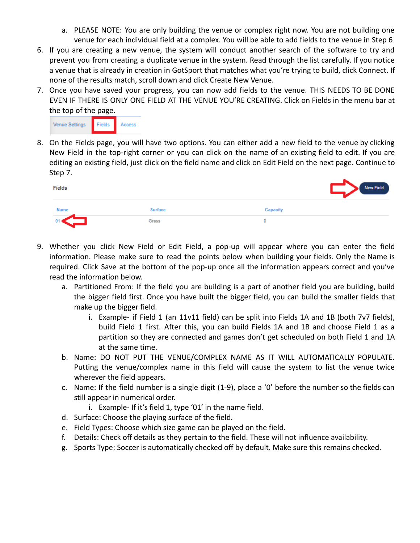- a. PLEASE NOTE: You are only building the venue or complex right now. You are not building one venue for each individual field at a complex. You will be able to add fields to the venue in Step 6
- 6. If you are creating a new venue, the system will conduct another search of the software to try and prevent you from creating a duplicate venue in the system. Read through the list carefully. If you notice a venue that is already in creation in GotSport that matches what you're trying to build, click Connect. If none of the results match, scroll down and click Create New Venue.
- 7. Once you have saved your progress, you can now add fields to the venue. THIS NEEDS TO BE DONE EVEN IF THERE IS ONLY ONE FIELD AT THE VENUE YOU'RE CREATING. Click on Fields in the menu bar at the top of the page.



8. On the Fields page, you will have two options. You can either add a new field to the venue by clicking New Field in the top-right corner or you can click on the name of an existing field to edit. If you are editing an existing field, just click on the field name and click on Edit Field on the next page. Continue to Step 7.

| Fields |         | <b>New Field</b> |
|--------|---------|------------------|
| Name   | Surface | Capacity         |
|        | Grass   |                  |

- 9. Whether you click New Field or Edit Field, a pop-up will appear where you can enter the field information. Please make sure to read the points below when building your fields. Only the Name is required. Click Save at the bottom of the pop-up once all the information appears correct and you've read the information below.
	- a. Partitioned From: If the field you are building is a part of another field you are building, build the bigger field first. Once you have built the bigger field, you can build the smaller fields that make up the bigger field.
		- i. Example- if Field 1 (an 11v11 field) can be split into Fields 1A and 1B (both 7v7 fields), build Field 1 first. After this, you can build Fields 1A and 1B and choose Field 1 as a partition so they are connected and games don't get scheduled on both Field 1 and 1A at the same time.
	- b. Name: DO NOT PUT THE VENUE/COMPLEX NAME AS IT WILL AUTOMATICALLY POPULATE. Putting the venue/complex name in this field will cause the system to list the venue twice wherever the field appears.
	- c. Name: If the field number is a single digit (1-9), place a '0' before the number so the fields can still appear in numerical order.
		- i. Example- If it's field 1, type '01' in the name field.
	- d. Surface: Choose the playing surface of the field.
	- e. Field Types: Choose which size game can be played on the field.
	- f. Details: Check off details as they pertain to the field. These will not influence availability.
	- g. Sports Type: Soccer is automatically checked off by default. Make sure this remains checked.